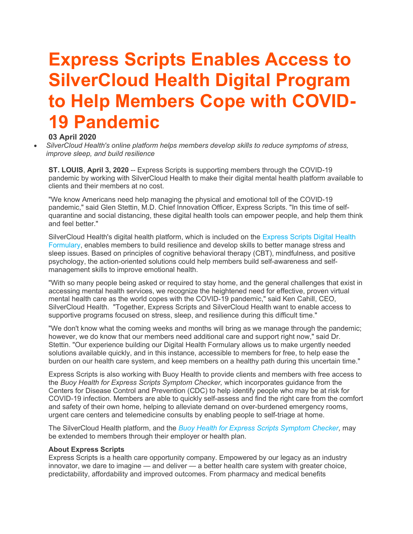## Express Scripts Enables Access to SilverCloud Health Digital Program to Help Members Cope with COVID-19 Pandemic

## 03 April 2020

 SilverCloud Health's online platform helps members develop skills to reduce symptoms of stress, improve sleep, and build resilience

ST. LOUIS, April 3, 2020 -- Express Scripts is supporting members through the COVID-19 pandemic by working with SilverCloud Health to make their digital mental health platform available to clients and their members at no cost.

"We know Americans need help managing the physical and emotional toll of the COVID-19 pandemic," said Glen Stettin, M.D. Chief Innovation Officer, Express Scripts. "In this time of selfquarantine and social distancing, these digital health tools can empower people, and help them think and feel better."

SilverCloud Health's digital health platform, which is included on the Express Scripts Digital Health Formulary, enables members to build resilience and develop skills to better manage stress and sleep issues. Based on principles of cognitive behavioral therapy (CBT), mindfulness, and positive psychology, the action-oriented solutions could help members build self-awareness and selfmanagement skills to improve emotional health.

"With so many people being asked or required to stay home, and the general challenges that exist in accessing mental health services, we recognize the heightened need for effective, proven virtual mental health care as the world copes with the COVID-19 pandemic," said Ken Cahill, CEO, SilverCloud Health. "Together, Express Scripts and SilverCloud Health want to enable access to supportive programs focused on stress, sleep, and resilience during this difficult time."

"We don't know what the coming weeks and months will bring as we manage through the pandemic; however, we do know that our members need additional care and support right now," said Dr. Stettin. "Our experience building our Digital Health Formulary allows us to make urgently needed solutions available quickly, and in this instance, accessible to members for free, to help ease the burden on our health care system, and keep members on a healthy path during this uncertain time."

Express Scripts is also working with Buoy Health to provide clients and members with free access to the Buoy Health for Express Scripts Symptom Checker, which incorporates guidance from the Centers for Disease Control and Prevention (CDC) to help identify people who may be at risk for COVID-19 infection. Members are able to quickly self-assess and find the right care from the comfort and safety of their own home, helping to alleviate demand on over-burdened emergency rooms, urgent care centers and telemedicine consults by enabling people to self-triage at home.

The SilverCloud Health platform, and the Buoy Health for Express Scripts Symptom Checker, may be extended to members through their employer or health plan.

## About Express Scripts

Express Scripts is a health care opportunity company. Empowered by our legacy as an industry innovator, we dare to imagine — and deliver — a better health care system with greater choice, predictability, affordability and improved outcomes. From pharmacy and medical benefits